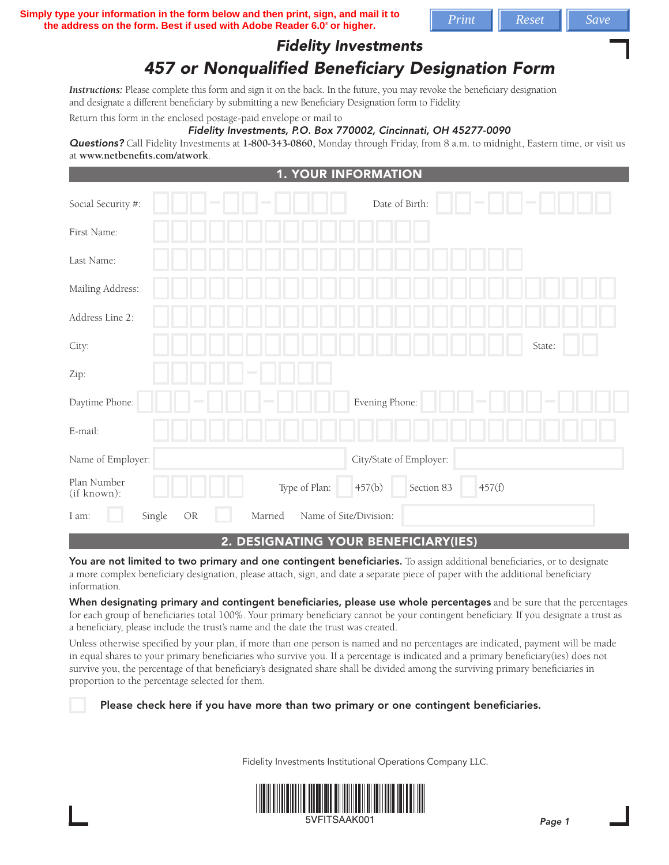**Simply type your information in the form below and then print, sign, and mail it to**  $\sqrt{\frac{P\text{rint}}{P\text{First}}}\sqrt{Reset}$ the address on the form. Best if used with Adobe Reader 6.0<sup>°</sup> or higher.

## *Fidelity Investments*

# *457 or Nonqualified Beneficiary Designation Form*

*Instructions:* Please complete this form and sign it on the back. In the future, you may revoke the beneficiary designation and designate a different beneficiary by submitting a new Beneficiary Designation form to Fidelity.

Return this form in the enclosed postage-paid envelope or mail to

#### *Fidelity Investments, P.O. Box 770002, Cincinnati, OH 45277-0090*

*Questions?* Call Fidelity Investments at **1-800-343-0860,** Monday through Friday, from 8 a.m. to midnight, Eastern time, or visit us at **www.netbenefits.com/atwork**.

| <b>1. YOUR INFORMATION</b>                                 |                                |  |  |  |
|------------------------------------------------------------|--------------------------------|--|--|--|
| Social Security #:<br><b>College</b>                       | Date of Birth:                 |  |  |  |
| First Name:                                                |                                |  |  |  |
| Last Name:                                                 |                                |  |  |  |
| Mailing Address:                                           |                                |  |  |  |
| Address Line 2:                                            |                                |  |  |  |
| City:                                                      | State:                         |  |  |  |
| Zip:                                                       |                                |  |  |  |
| Daytime Phone:                                             | Evening Phone:                 |  |  |  |
| E-mail:                                                    |                                |  |  |  |
| Name of Employer:                                          | City/State of Employer:        |  |  |  |
| Plan Number<br>Type of Plan:<br>(if known):                | 457(b)<br>Section 83<br>457(f) |  |  |  |
| Name of Site/Division:<br>Single<br>OR<br>Married<br>I am: |                                |  |  |  |

### 2. designating your beneficiary(ies)

You are not limited to two primary and one contingent beneficiaries. To assign additional beneficiaries, or to designate a more complex beneficiary designation, please attach, sign, and date a separate piece of paper with the additional beneficiary information.

When designating primary and contingent beneficiaries, please use whole percentages and be sure that the percentages for each group of beneficiaries total 100%. Your primary beneficiary cannot be your contingent beneficiary. If you designate a trust as a beneficiary, please include the trust's name and the date the trust was created.

Unless otherwise specified by your plan, if more than one person is named and no percentages are indicated, payment will be made in equal shares to your primary beneficiaries who survive you. If a percentage is indicated and a primary beneficiary(ies) does not survive you, the percentage of that beneficiary's designated share shall be divided among the surviving primary beneficiaries in proportion to the percentage selected for them.

Please check here if you have more than two primary or one contingent beneficiaries.

Fidelity Investments Institutional Operations Company LLC.



5VFITSAAK001